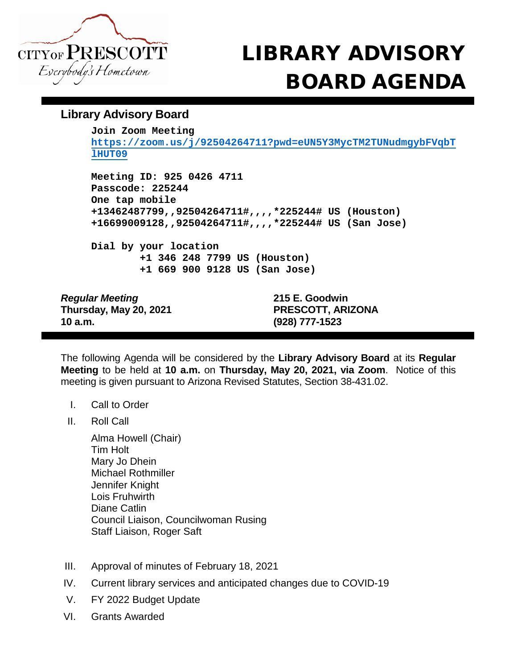

## CITYOF PRESCOTT LIBRARY ADVISORY BOARD AGENDA

## **Library Advisory Board**

**Join Zoom Meeting**

**[https://zoom.us/j/92504264711?pwd=eUN5Y3MycTM2TUNudmgybFVqbT](https://zoom.us/j/92504264711?pwd=eUN5Y3MycTM2TUNudmgybFVqbTlHUT09) [lHUT09](https://zoom.us/j/92504264711?pwd=eUN5Y3MycTM2TUNudmgybFVqbTlHUT09)**

**Meeting ID: 925 0426 4711 Passcode: 225244 One tap mobile +13462487799,,92504264711#,,,,\*225244# US (Houston) +16699009128,,92504264711#,,,,\*225244# US (San Jose)**

**Dial by your location +1 346 248 7799 US (Houston) +1 669 900 9128 US (San Jose)**

*Regular Meeting* **215 E. Goodwin Thursday, May 20, 2021 PRESCOTT, ARIZONA 10 a.m. (928) 777-1523**

The following Agenda will be considered by the **Library Advisory Board** at its **Regular Meeting** to be held at **10 a.m.** on **Thursday, May 20, 2021, via Zoom**. Notice of this meeting is given pursuant to Arizona Revised Statutes, Section 38-431.02.

- I. Call to Order
- II. Roll Call

Alma Howell (Chair) Tim Holt Mary Jo Dhein Michael Rothmiller Jennifer Knight Lois Fruhwirth Diane Catlin Council Liaison, Councilwoman Rusing Staff Liaison, Roger Saft

- III. Approval of minutes of February 18, 2021
- IV. Current library services and anticipated changes due to COVID-19
- V. FY 2022 Budget Update
- VI. Grants Awarded